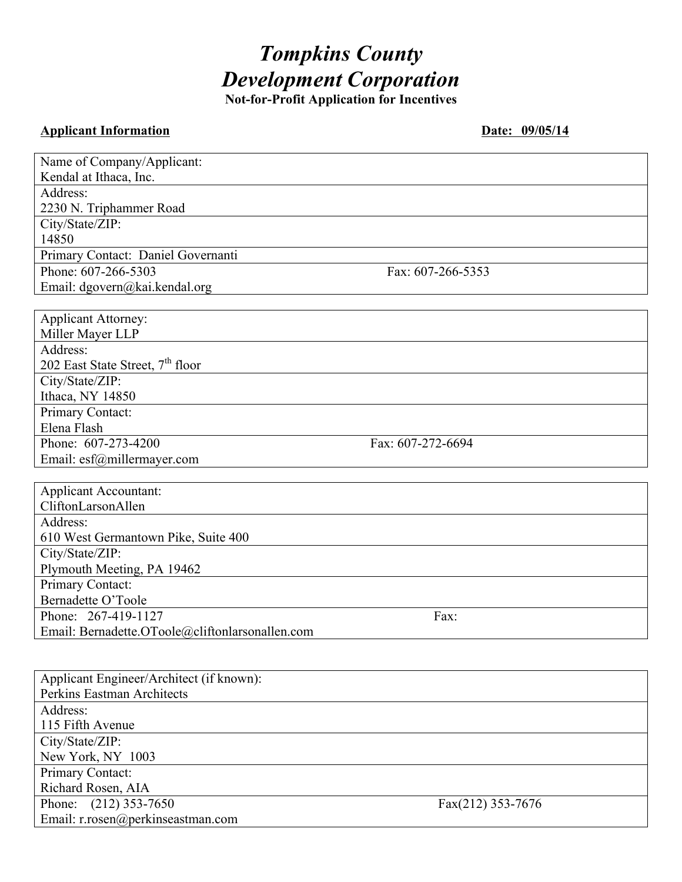# *Tompkins County Development Corporation*

**Not-for-Profit Application for Incentives**

# **Applicant Information Date: 09/05/14**

| Name of Company/Applicant:                      |                   |
|-------------------------------------------------|-------------------|
| Kendal at Ithaca, Inc.                          |                   |
| Address:                                        |                   |
| 2230 N. Triphammer Road                         |                   |
| City/State/ZIP:                                 |                   |
| 14850                                           |                   |
| Primary Contact: Daniel Governanti              |                   |
| Phone: 607-266-5303                             | Fax: 607-266-5353 |
| Email: dgovern@kai.kendal.org                   |                   |
|                                                 |                   |
| <b>Applicant Attorney:</b>                      |                   |
| Miller Mayer LLP                                |                   |
| Address:                                        |                   |
| 202 East State Street, 7 <sup>th</sup> floor    |                   |
| City/State/ZIP:                                 |                   |
| Ithaca, NY 14850                                |                   |
| Primary Contact:                                |                   |
| Elena Flash                                     |                   |
| Phone: 607-273-4200                             | Fax: 607-272-6694 |
| Email: esf@millermayer.com                      |                   |
|                                                 |                   |
| <b>Applicant Accountant:</b>                    |                   |
| CliftonLarsonAllen                              |                   |
| Address:                                        |                   |
| 610 West Germantown Pike, Suite 400             |                   |
| City/State/ZIP:                                 |                   |
| Plymouth Meeting, PA 19462                      |                   |
| Primary Contact:                                |                   |
| Bernadette O'Toole                              |                   |
| Phone: 267-419-1127                             | Fax:              |
| Email: Bernadette.OToole@cliftonlarsonallen.com |                   |
|                                                 |                   |
| Applicant Engineer/Architect (if known):        |                   |
| Perkins Eastman Architects                      |                   |
| Address:                                        |                   |
| 115 Fifth Avenue                                |                   |
| City/State/ZIP:                                 |                   |
| New York, NY 1003                               |                   |
| Primary Contact:                                |                   |
| Richard Rosen, AIA                              |                   |
| $(212)$ 353-7650<br>Phone:                      | Fax(212) 353-7676 |
| Email: r.rosen@perkinseastman.com               |                   |
|                                                 |                   |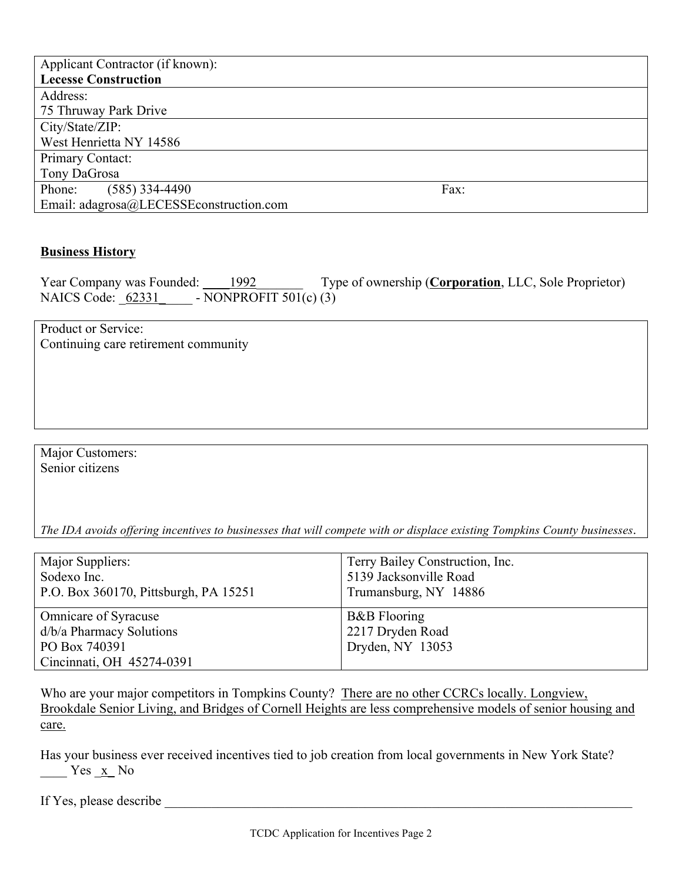| Applicant Contractor (if known):        |      |
|-----------------------------------------|------|
| <b>Lecesse Construction</b>             |      |
| Address:                                |      |
| 75 Thruway Park Drive                   |      |
| City/State/ZIP:                         |      |
| West Henrietta NY 14586                 |      |
| Primary Contact:                        |      |
| Tony DaGrosa                            |      |
| $(585)$ 334-4490<br>Phone:              | Fax: |
| Email: adagrosa@LECESSEconstruction.com |      |

### **Business History**

Year Company was Founded: 1992 Type of ownership (Corporation, LLC, Sole Proprietor) NAICS Code:  $62331 - NONPROFIT 501(c) (3)$ 

Product or Service: Continuing care retirement community

Major Customers: Senior citizens

*The IDA avoids offering incentives to businesses that will compete with or displace existing Tompkins County businesses*.

| Major Suppliers:<br>Sodexo Inc.<br>P.O. Box 360170, Pittsburgh, PA 15251 | Terry Bailey Construction, Inc.<br>5139 Jacksonville Road<br>Trumansburg, NY 14886 |
|--------------------------------------------------------------------------|------------------------------------------------------------------------------------|
| <b>Omnicare of Syracuse</b>                                              | <b>B&amp;B</b> Flooring                                                            |
| d/b/a Pharmacy Solutions                                                 | 2217 Dryden Road                                                                   |
| PO Box 740391                                                            | Dryden, NY 13053                                                                   |
| Cincinnati, OH 45274-0391                                                |                                                                                    |

Who are your major competitors in Tompkins County? There are no other CCRCs locally. Longview, Brookdale Senior Living, and Bridges of Cornell Heights are less comprehensive models of senior housing and care.

Has your business ever received incentives tied to job creation from local governments in New York State?  $Yes \underline{x}$  No

If Yes, please describe \_\_\_\_\_\_\_\_\_\_\_\_\_\_\_\_\_\_\_\_\_\_\_\_\_\_\_\_\_\_\_\_\_\_\_\_\_\_\_\_\_\_\_\_\_\_\_\_\_\_\_\_\_\_\_\_\_\_\_\_\_\_\_\_\_\_\_\_\_\_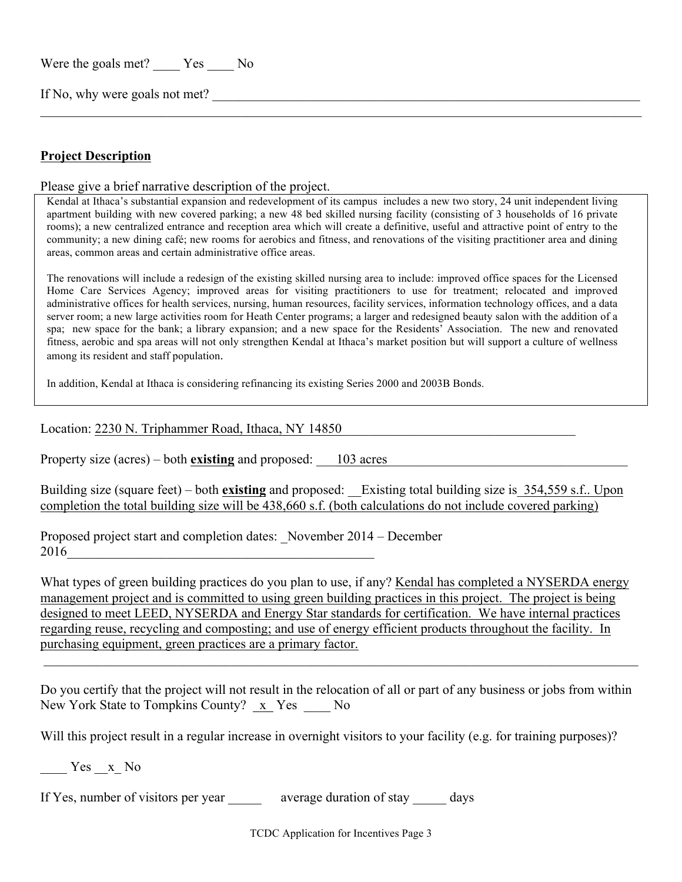Were the goals met? Yes No

If No, why were goals not met?

## **Project Description**

Please give a brief narrative description of the project.

Kendal at Ithaca's substantial expansion and redevelopment of its campus includes a new two story, 24 unit independent living apartment building with new covered parking; a new 48 bed skilled nursing facility (consisting of 3 households of 16 private rooms); a new centralized entrance and reception area which will create a definitive, useful and attractive point of entry to the community; a new dining café; new rooms for aerobics and fitness, and renovations of the visiting practitioner area and dining areas, common areas and certain administrative office areas.

 $\_$  , and the contribution of the contribution of the contribution of the contribution of the contribution of  $\mathcal{L}_\text{max}$ 

The renovations will include a redesign of the existing skilled nursing area to include: improved office spaces for the Licensed Home Care Services Agency; improved areas for visiting practitioners to use for treatment; relocated and improved administrative offices for health services, nursing, human resources, facility services, information technology offices, and a data server room; a new large activities room for Heath Center programs; a larger and redesigned beauty salon with the addition of a spa; new space for the bank; a library expansion; and a new space for the Residents' Association. The new and renovated fitness, aerobic and spa areas will not only strengthen Kendal at Ithaca's market position but will support a culture of wellness among its resident and staff population.

In addition, Kendal at Ithaca is considering refinancing its existing Series 2000 and 2003B Bonds.

#### Location: 2230 N. Triphammer Road, Ithaca, NY 14850

Property size (acres) – both **existing** and proposed:  $\qquad$  103 acres

Building size (square feet) – both **existing** and proposed: Existing total building size is 354,559 s.f.. Upon completion the total building size will be 438,660 s.f. (both calculations do not include covered parking)

Proposed project start and completion dates: November 2014 – December  $2016$ 

What types of green building practices do you plan to use, if any? Kendal has completed a NYSERDA energy management project and is committed to using green building practices in this project. The project is being designed to meet LEED, NYSERDA and Energy Star standards for certification. We have internal practices regarding reuse, recycling and composting; and use of energy efficient products throughout the facility. In purchasing equipment, green practices are a primary factor.

Do you certify that the project will not result in the relocation of all or part of any business or jobs from within New York State to Tompkins County? x Yes No

 $\_$  , and the contribution of the contribution of the contribution of the contribution of the contribution of  $\mathcal{L}_\text{max}$ 

Will this project result in a regular increase in overnight visitors to your facility (e.g. for training purposes)?

Yes  $x$  No

If Yes, number of visitors per year average duration of stay days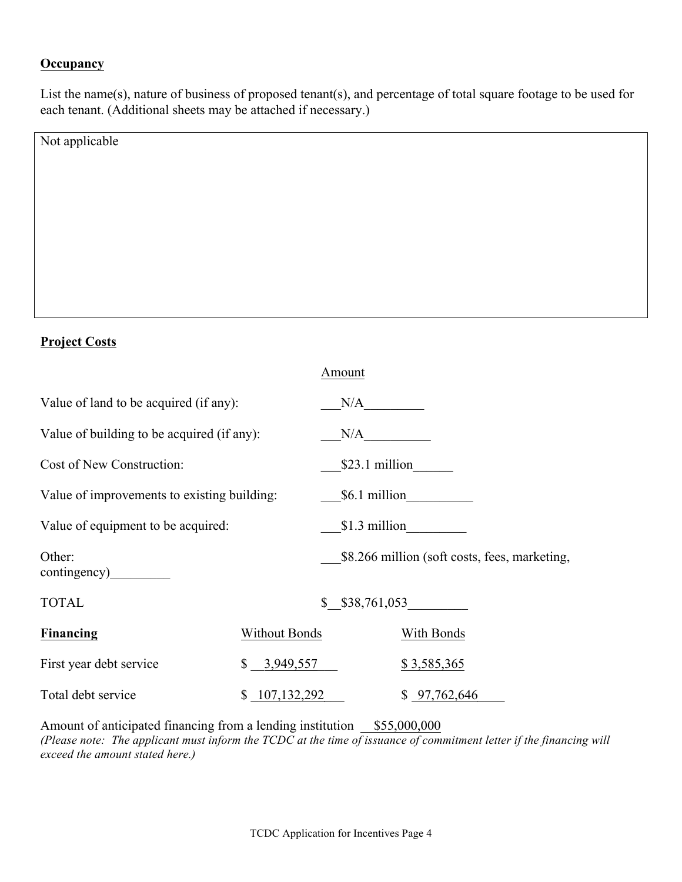# **Occupancy**

List the name(s), nature of business of proposed tenant(s), and percentage of total square footage to be used for each tenant. (Additional sheets may be attached if necessary.)

| Not applicable |  |
|----------------|--|
|                |  |
|                |  |
|                |  |
|                |  |
|                |  |
|                |  |
|                |  |

## **Project Costs**

|                                             |                         | Amount          |                                               |  |
|---------------------------------------------|-------------------------|-----------------|-----------------------------------------------|--|
| Value of land to be acquired (if any):      |                         | N/A             |                                               |  |
| Value of building to be acquired (if any):  |                         | N/A             |                                               |  |
| Cost of New Construction:                   |                         | $$23.1$ million |                                               |  |
| Value of improvements to existing building: |                         | \$6.1 million   |                                               |  |
| Value of equipment to be acquired:          |                         |                 | $$1.3$ million                                |  |
| Other:<br>contingency)                      |                         |                 | \$8.266 million (soft costs, fees, marketing, |  |
| <b>TOTAL</b>                                |                         | \$38,761,053    |                                               |  |
| <b>Financing</b>                            | <b>Without Bonds</b>    |                 | With Bonds                                    |  |
| First year debt service                     | $\frac{$}{5}$ 3,949,557 |                 | \$3,585,365                                   |  |
| Total debt service                          | \$107,132,292           |                 | \$97,762,646                                  |  |

Amount of anticipated financing from a lending institution  $\frac{$55,000,000}{55,000,000}$ *(Please note: The applicant must inform the TCDC at the time of issuance of commitment letter if the financing will exceed the amount stated here.)*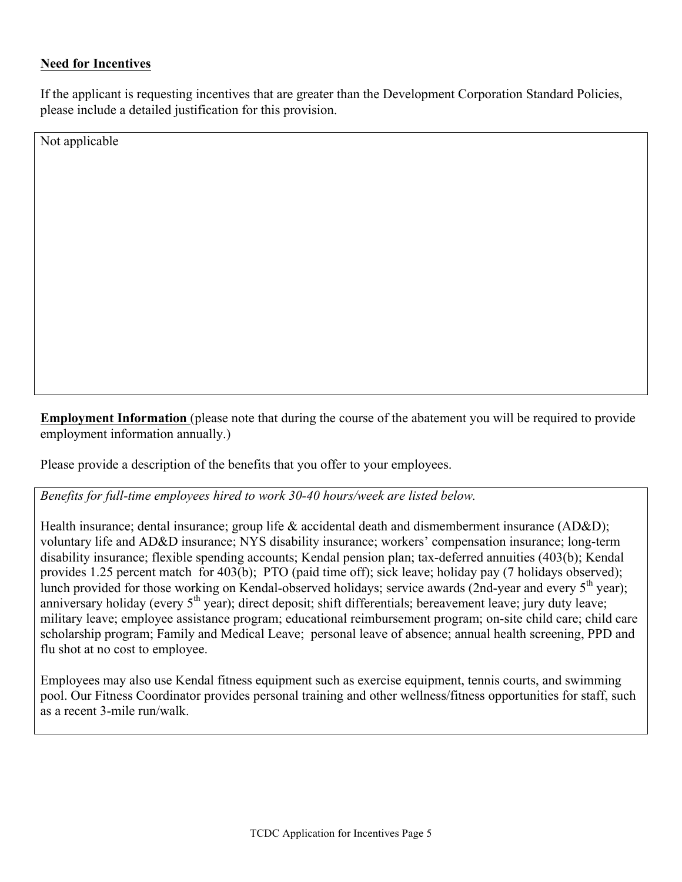## **Need for Incentives**

If the applicant is requesting incentives that are greater than the Development Corporation Standard Policies, please include a detailed justification for this provision.

Not applicable

**Employment Information** (please note that during the course of the abatement you will be required to provide employment information annually.)

Please provide a description of the benefits that you offer to your employees.

*Benefits for full-time employees hired to work 30-40 hours/week are listed below.* 

Health insurance; dental insurance; group life & accidental death and dismemberment insurance (AD&D); voluntary life and AD&D insurance; NYS disability insurance; workers' compensation insurance; long-term disability insurance; flexible spending accounts; Kendal pension plan; tax-deferred annuities (403(b); Kendal provides 1.25 percent match for 403(b); PTO (paid time off); sick leave; holiday pay (7 holidays observed); lunch provided for those working on Kendal-observed holidays; service awards (2nd-year and every 5<sup>th</sup> year); anniversary holiday (every 5<sup>th</sup> year); direct deposit; shift differentials; bereavement leave; jury duty leave; military leave; employee assistance program; educational reimbursement program; on-site child care; child care scholarship program; Family and Medical Leave; personal leave of absence; annual health screening, PPD and flu shot at no cost to employee.

Employees may also use Kendal fitness equipment such as exercise equipment, tennis courts, and swimming pool. Our Fitness Coordinator provides personal training and other wellness/fitness opportunities for staff, such as a recent 3-mile run/walk.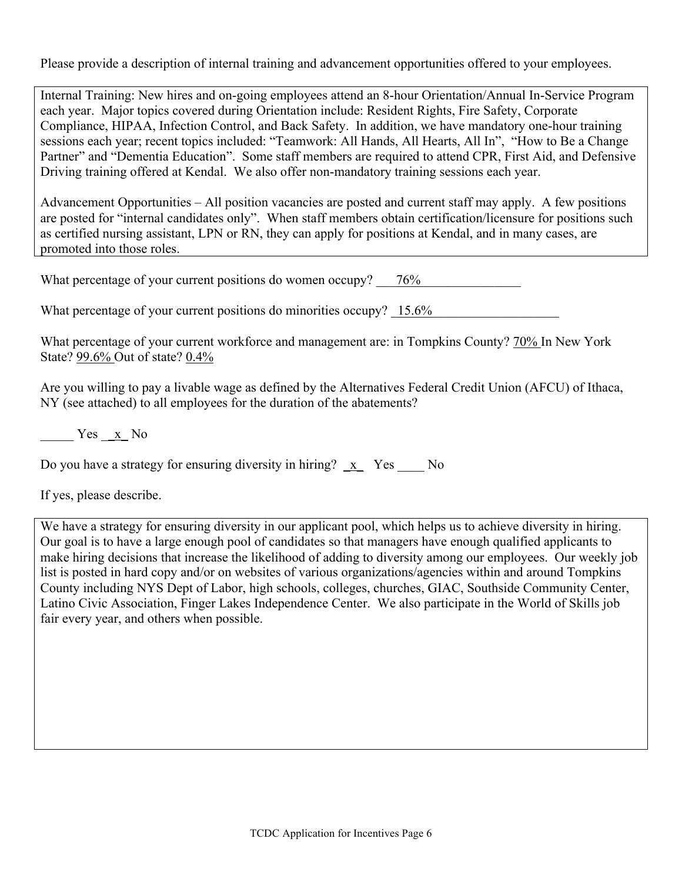Please provide a description of internal training and advancement opportunities offered to your employees.

Internal Training: New hires and on-going employees attend an 8-hour Orientation/Annual In-Service Program each year. Major topics covered during Orientation include: Resident Rights, Fire Safety, Corporate Compliance, HIPAA, Infection Control, and Back Safety. In addition, we have mandatory one-hour training sessions each year; recent topics included: "Teamwork: All Hands, All Hearts, All In", "How to Be a Change Partner" and "Dementia Education". Some staff members are required to attend CPR, First Aid, and Defensive Driving training offered at Kendal. We also offer non-mandatory training sessions each year.

Advancement Opportunities – All position vacancies are posted and current staff may apply. A few positions are posted for "internal candidates only". When staff members obtain certification/licensure for positions such as certified nursing assistant, LPN or RN, they can apply for positions at Kendal, and in many cases, are promoted into those roles.

What percentage of your current positions do women occupy?  $76\%$ 

What percentage of your current positions do minorities occupy?  $15.6\%$ 

What percentage of your current workforce and management are: in Tompkins County? 70% In New York State? 99.6% Out of state? 0.4%

Are you willing to pay a livable wage as defined by the Alternatives Federal Credit Union (AFCU) of Ithaca, NY (see attached) to all employees for the duration of the abatements?

 $Yes \quad x \quad No$ 

|  | Do you have a strategy for ensuring diversity in hiring? $\mathbf{x}$ Yes |  |  | N <sub>0</sub> |
|--|---------------------------------------------------------------------------|--|--|----------------|
|  |                                                                           |  |  |                |

If yes, please describe.

We have a strategy for ensuring diversity in our applicant pool, which helps us to achieve diversity in hiring. Our goal is to have a large enough pool of candidates so that managers have enough qualified applicants to make hiring decisions that increase the likelihood of adding to diversity among our employees. Our weekly job list is posted in hard copy and/or on websites of various organizations/agencies within and around Tompkins County including NYS Dept of Labor, high schools, colleges, churches, GIAC, Southside Community Center, Latino Civic Association, Finger Lakes Independence Center. We also participate in the World of Skills job fair every year, and others when possible.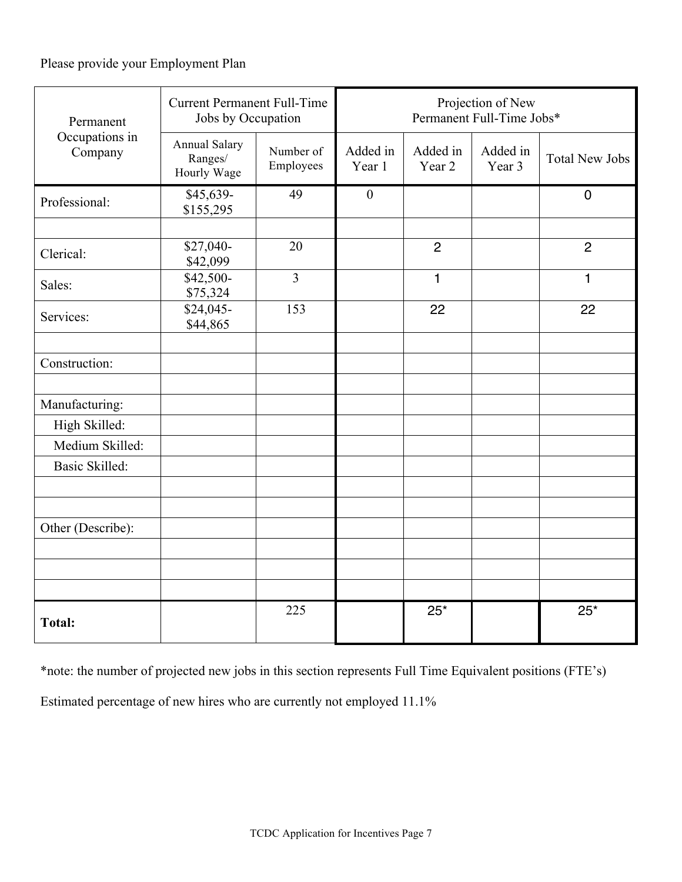# Please provide your Employment Plan

| Permanent                 | <b>Current Permanent Full-Time</b><br>Jobs by Occupation |                        | Projection of New<br>Permanent Full-Time Jobs* |                    |                    |                       |
|---------------------------|----------------------------------------------------------|------------------------|------------------------------------------------|--------------------|--------------------|-----------------------|
| Occupations in<br>Company | <b>Annual Salary</b><br>Ranges/<br>Hourly Wage           | Number of<br>Employees | Added in<br>Year 1                             | Added in<br>Year 2 | Added in<br>Year 3 | <b>Total New Jobs</b> |
| Professional:             | \$45,639-<br>\$155,295                                   | 49                     | $\boldsymbol{0}$                               |                    |                    | $\mathbf 0$           |
|                           |                                                          |                        |                                                |                    |                    |                       |
| Clerical:                 | \$27,040-<br>\$42,099                                    | 20                     |                                                | $\overline{2}$     |                    | $\overline{2}$        |
| Sales:                    | \$42,500-<br>\$75,324                                    | $\overline{3}$         |                                                | 1                  |                    | $\mathbf{1}$          |
| Services:                 | \$24,045-<br>\$44,865                                    | 153                    |                                                | 22                 |                    | 22                    |
|                           |                                                          |                        |                                                |                    |                    |                       |
| Construction:             |                                                          |                        |                                                |                    |                    |                       |
|                           |                                                          |                        |                                                |                    |                    |                       |
| Manufacturing:            |                                                          |                        |                                                |                    |                    |                       |
| High Skilled:             |                                                          |                        |                                                |                    |                    |                       |
| Medium Skilled:           |                                                          |                        |                                                |                    |                    |                       |
| <b>Basic Skilled:</b>     |                                                          |                        |                                                |                    |                    |                       |
|                           |                                                          |                        |                                                |                    |                    |                       |
| Other (Describe):         |                                                          |                        |                                                |                    |                    |                       |
|                           |                                                          |                        |                                                |                    |                    |                       |
|                           |                                                          |                        |                                                |                    |                    |                       |
|                           |                                                          |                        |                                                |                    |                    |                       |
| <b>Total:</b>             |                                                          | 225                    |                                                | $25*$              |                    | $25*$                 |

\*note: the number of projected new jobs in this section represents Full Time Equivalent positions (FTE's)

Estimated percentage of new hires who are currently not employed 11.1%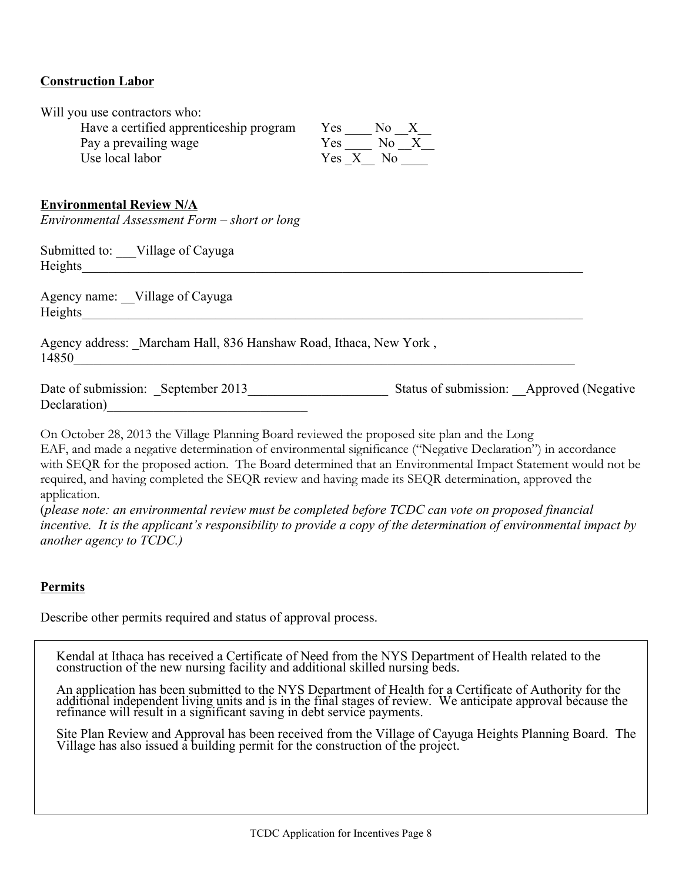### **Construction Labor**

| Will you use contractors who:<br>Have a certified apprenticeship program<br>Pay a prevailing wage<br>Use local labor                                                                                                                                             | $Yes \_\_ No \_\_X_\_$<br>$Yes \t No_X$<br>Yes X No |
|------------------------------------------------------------------------------------------------------------------------------------------------------------------------------------------------------------------------------------------------------------------|-----------------------------------------------------|
| <b>Environmental Review N/A</b><br>Environmental Assessment Form - short or long                                                                                                                                                                                 |                                                     |
| Submitted to: Village of Cayuga<br>Heights Property of the Commission of the Commission of the Commission of the Commission of the Commission of the Commission of the Commission of the Commission of the Commission of the Commission of the Commission of the |                                                     |
| Agency name: Village of Cayuga<br>Heights Property of the Contract of the Contract of the Contract of the Contract of the Contract of the Contract of the Contract of the Contract of the Contract of the Contract of the Contract of the Contract of the Contra |                                                     |
| Agency address: Marcham Hall, 836 Hanshaw Road, Ithaca, New York,<br>14850                                                                                                                                                                                       |                                                     |
| Date of submission: September 2013                                                                                                                                                                                                                               | Status of submission: Approved (Negative            |
| On October 20, 2012 the Village Plenning Reed terrioried the presenced site also and the Lega                                                                                                                                                                    |                                                     |

On October 28, 2013 the Village Planning Board reviewed the proposed site plan and the Long EAF, and made a negative determination of environmental significance ("Negative Declaration") in accordance with SEQR for the proposed action. The Board determined that an Environmental Impact Statement would not be required, and having completed the SEQR review and having made its SEQR determination, approved the application.

(*please note: an environmental review must be completed before TCDC can vote on proposed financial incentive. It is the applicant's responsibility to provide a copy of the determination of environmental impact by another agency to TCDC.)*

### **Permits**

Describe other permits required and status of approval process.

Kendal at Ithaca has received a Certificate of Need from the NYS Department of Health related to the construction of the new nursing facility and additional skilled nursing beds.

An application has been submitted to the NYS Department of Health for a Certificate of Authority for the additional independent living units and is in the final stages of review. We anticipate approval because the refinanc

Site Plan Review and Approval has been received from the Village of Cayuga Heights Planning Board. The Village has also issued a building permit for the construction of the project.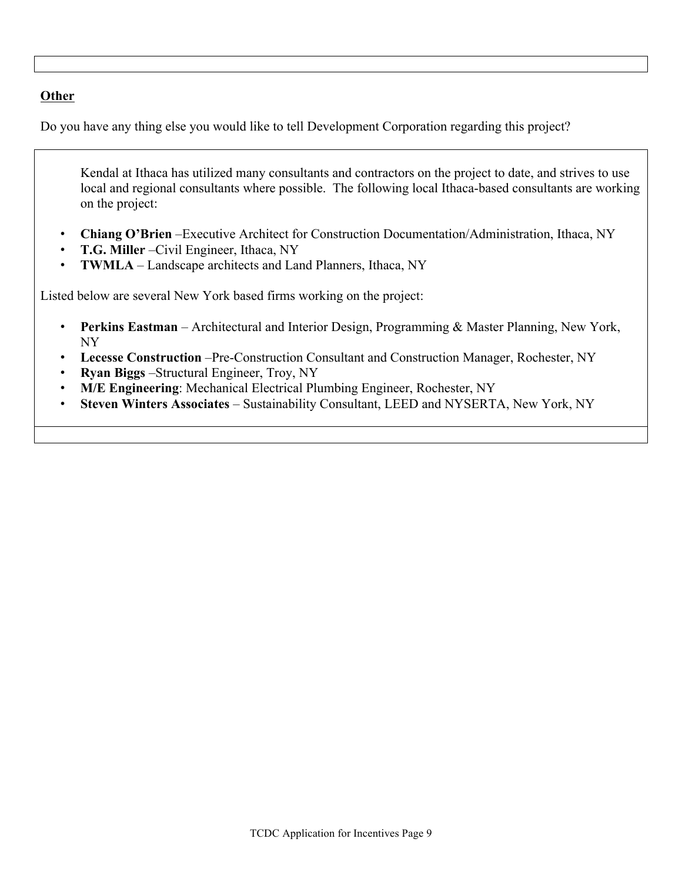# **Other**

Do you have any thing else you would like to tell Development Corporation regarding this project?

Kendal at Ithaca has utilized many consultants and contractors on the project to date, and strives to use local and regional consultants where possible. The following local Ithaca-based consultants are working on the project:

- **Chiang O'Brien** –Executive Architect for Construction Documentation/Administration, Ithaca, NY
- **T.G. Miller** –Civil Engineer, Ithaca, NY
- **TWMLA** Landscape architects and Land Planners, Ithaca, NY

Listed below are several New York based firms working on the project:

- **Perkins Eastman** Architectural and Interior Design, Programming & Master Planning, New York, NY
- **Lecesse Construction** –Pre-Construction Consultant and Construction Manager, Rochester, NY
- **Ryan Biggs** –Structural Engineer, Troy, NY
- **M/E Engineering**: Mechanical Electrical Plumbing Engineer, Rochester, NY
- **Steven Winters Associates**  Sustainability Consultant, LEED and NYSERTA, New York, NY